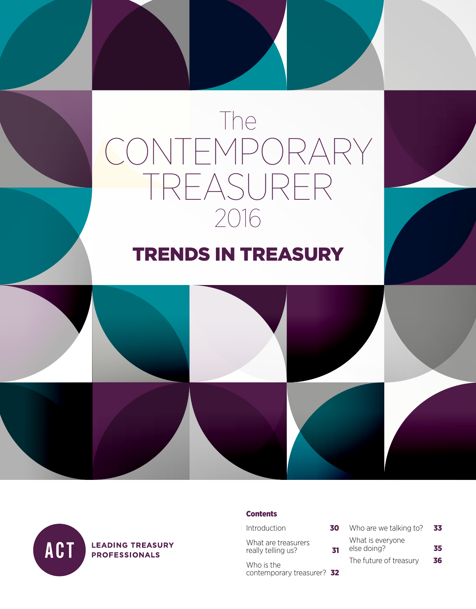# The CONTEMPORARY TREASURER 2016

### TRENDS IN TREASURY



**LEADING TREASURY PROFESSIONALS** 

#### **Contents**

 $Introduction$  3

What are treasurers really telling us?

Who is the contemporary treasurer? 32

| ίO | Who are we talking to?          | 33 |
|----|---------------------------------|----|
| 31 | What is everyone<br>else doing? | 35 |
|    | The future of treasury          | 36 |
|    |                                 |    |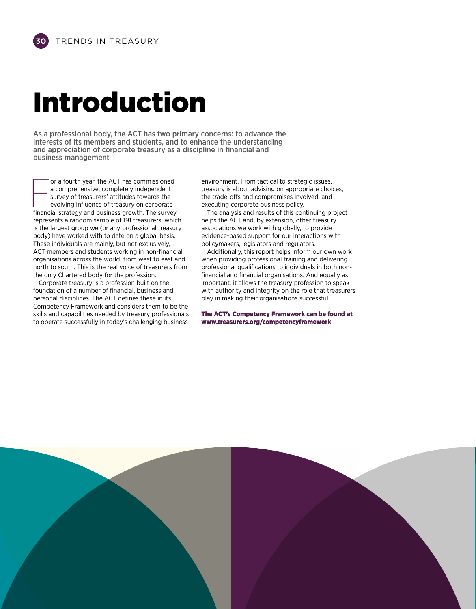### Introduction

As a professional body, the ACT has two primary concerns: to advance the interests of its members and students, and to enhance the understanding and appreciation of corporate treasury as a discipline in financial and business management

or a fourth year, the ACT has commissioned<br>a comprehensive, completely independent<br>survey of treasurers' attitudes towards the<br>evolving influence of treasury on corporate<br>financial strategy and business growth. The survey or a fourth year, the ACT has commissioned a comprehensive, completely independent survey of treasurers' attitudes towards the evolving influence of treasury on corporate represents a random sample of 191 treasurers, which is the largest group we (or any professional treasury body) have worked with to date on a global basis. These individuals are mainly, but not exclusively, ACT members and students working in non-financial organisations across the world, from west to east and north to south. This is the real voice of treasurers from the only Chartered body for the profession.

Corporate treasury is a profession built on the foundation of a number of financial, business and personal disciplines. The ACT defines these in its Competency Framework and considers them to be the skills and capabilities needed by treasury professionals to operate successfully in today's challenging business

environment. From tactical to strategic issues, treasury is about advising on appropriate choices, the trade-offs and compromises involved, and executing corporate business policy.

The analysis and results of this continuing project helps the ACT and, by extension, other treasury associations we work with globally, to provide evidence-based support for our interactions with policymakers, legislators and regulators.

Additionally, this report helps inform our own work when providing professional training and delivering professional qualifications to individuals in both nonfinancial and financial organisations. And equally as important, it allows the treasury profession to speak with authority and integrity on the role that treasurers play in making their organisations successful.

The ACT's Competency Framework can be found at www.treasurers.org/competencyframework

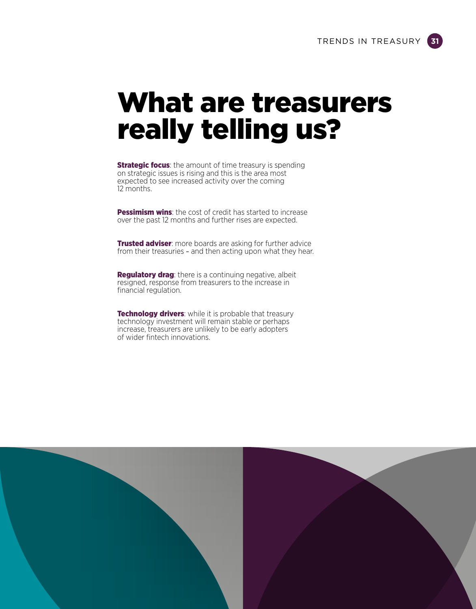### What are treasurers really telling us?

**Strategic focus:** the amount of time treasury is spending on strategic issues is rising and this is the area most expected to see increased activity over the coming 12 months.

Pessimism wins: the cost of credit has started to increase over the past 12 months and further rises are expected.

**Trusted adviser**: more boards are asking for further advice from their treasuries – and then acting upon what they hear.

Regulatory drag: there is a continuing negative, albeit resigned, response from treasurers to the increase in financial regulation.

**Technology drivers:** while it is probable that treasury technology investment will remain stable or perhaps increase, treasurers are unlikely to be early adopters of wider fintech innovations.

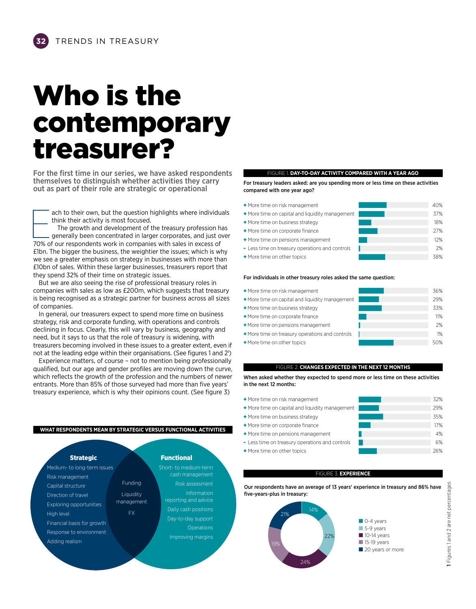### Who is the contemporary treasurer?

For the first time in our series, we have asked respondents themselves to distinguish whether activities they carry out as part of their role are strategic or operational

ach to their own, but the question highlights where individuals think their activity is most focused.

ach to their own, but the question highlights where individued think their activity is most focused.<br>The growth and development of the treasury profession has generally been concentrated in larger corporates, and just of 7 The growth and development of the treasury profession has generally been concentrated in larger corporates, and just over £1bn. The bigger the business, the weightier the issues; which is why we see a greater emphasis on strategy in businesses with more than £10bn of sales. Within these larger businesses, treasurers report that they spend 32% of their time on strategic issues.

But we are also seeing the rise of professional treasury roles in companies with sales as low as £200m, which suggests that treasury is being recognised as a strategic partner for business across all sizes of companies.

In general, our treasurers expect to spend more time on business strategy, risk and corporate funding, with operations and controls declining in focus. Clearly, this will vary by business, geography and need, but it says to us that the role of treasury is widening, with treasurers becoming involved in these issues to a greater extent, even if not at the leading edge within their organisations. (See figures 1 and 21 )

Experience matters, of course – not to mention being professionally qualified, but our age and gender profiles are moving down the curve, which reflects the growth of the profession and the numbers of newer entrants. More than 85% of those surveyed had more than five years' treasury experience, which is why their opinions count. (See figure 3)

#### **WHAT RESPONDENTS MEAN BY STRATEGIC VERSUS FUNCTIONAL ACTIVITIES**



#### FIGURE 1. **DAY-TO-DAY ACTIVITY COMPARED WITH A YEAR AGO**

For treasury leaders asked: are you spending more or less time on these activities compared with one year ago?

E | + More time on risk management + More time on capital and liquidity management + More time on business strategy + More time on corporate finance + More time on pensions management - Less time on treasury operations and controls + More time on other topics 37% 18% 27% 12% 2% 38%

#### For individuals in other treasury roles asked the same question:

| • More time on risk management                                                                            | 40% |
|-----------------------------------------------------------------------------------------------------------|-----|
| • More time on capital and liquidity management                                                           | 37% |
| • More time on business strategy                                                                          | 18% |
| • More time on corporate finance                                                                          | 27% |
| • More time on pensions management                                                                        | 12% |
| - Less time on treasury operations and controls                                                           | 2%  |
| • More time on other topics                                                                               | 38% |
| For individuals in other treasury roles asked the same question:                                          |     |
| • More time on risk management                                                                            | 36% |
| • More time on capital and liquidity management                                                           | 29% |
| • More time on business strategy                                                                          | 33% |
| + More time on corporate finance                                                                          | 11% |
| • More time on pensions management                                                                        | 2%  |
| • More time on treasury operations and controls                                                           | 1%  |
| • More time on other topics                                                                               | 50% |
|                                                                                                           |     |
| FIGURE 2. CHANGES EXPECTED IN THE NEXT 12 MONTHS                                                          |     |
| When asked whether they expected to spend more or less time on these activities<br>in the next 12 months: |     |
| • More time on risk management                                                                            | 32% |
| • More time on capital and liquidity management                                                           | 29% |
| • More time on business strategy                                                                          | 35% |
| • More time on corporate finance                                                                          | 17% |
| • More time on pensions management                                                                        | 4%  |
| - Less time on treasury operations and controls                                                           | 6%  |
| + More time on other topics                                                                               | 26% |

#### FIGURE 2. **CHANGES EXPECTED IN THE NEXT 12 MONTHS**

| • More time on risk management                                                                            | 36% |     |
|-----------------------------------------------------------------------------------------------------------|-----|-----|
| • More time on capital and liquidity management                                                           | 29% |     |
| • More time on business strategy                                                                          | 33% |     |
| • More time on corporate finance                                                                          |     | 11% |
| • More time on pensions management                                                                        |     | 2%  |
| • More time on treasury operations and controls                                                           |     | 1%  |
| • More time on other topics                                                                               | 50% |     |
| FIGURE 2. CHANGES EXPECTED IN THE NEXT 12 MONTHS                                                          |     |     |
| When asked whether they expected to spend more or less time on these activities<br>in the next 12 months: |     |     |
| • More time on risk management                                                                            | 32% |     |
| • More time on capital and liquidity management                                                           | 29% |     |
| • More time on business strategy                                                                          | 35% |     |
| • More time on corporate finance                                                                          |     | 17% |
| • More time on pensions management                                                                        |     | 4%  |
| - Less time on treasury operations and controls                                                           |     | 6%  |

#### FIGURE 3. **EXPERIENCE**

Our respondents have an average of 13 years' experience in treasury and 86% have five-years-plus in treasury:



1 Figures 1 and 2 are net percentages 1 Figures 1 and 2 are net percentages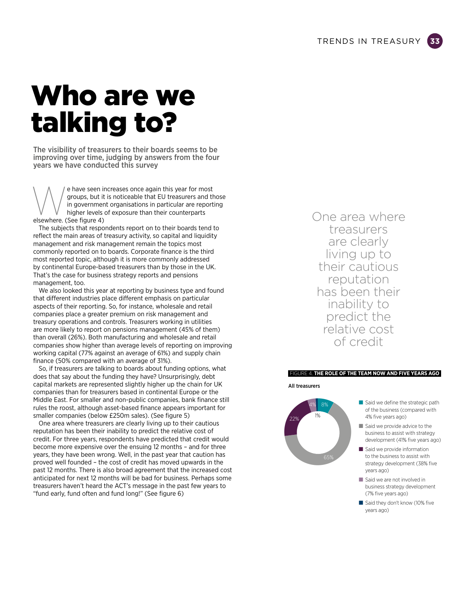### Who are we talking to?

The visibility of treasurers to their boards seems to be improving over time, judging by answers from the four years we have conducted this survey

(e) have seen increases once again this year for most<br>groups, but it is noticeable that EU treasurers and the<br>in government organisations in particular are report<br>higher levels of exposure than their counterparts<br>elsewhere groups, but it is noticeable that EU treasurers and those in government organisations in particular are reporting higher levels of exposure than their counterparts elsewhere. (See figure 4)

The subjects that respondents report on to their boards tend to reflect the main areas of treasury activity, so capital and liquidity management and risk management remain the topics most commonly reported on to boards. Corporate finance is the third most reported topic, although it is more commonly addressed by continental Europe-based treasurers than by those in the UK. That's the case for business strategy reports and pensions management, too.

We also looked this year at reporting by business type and found that different industries place different emphasis on particular aspects of their reporting. So, for instance, wholesale and retail companies place a greater premium on risk management and treasury operations and controls. Treasurers working in utilities are more likely to report on pensions management (45% of them) than overall (26%). Both manufacturing and wholesale and retail companies show higher than average levels of reporting on improving working capital (77% against an average of 61%) and supply chain finance (50% compared with an average of 31%).

So, if treasurers are talking to boards about funding options, what does that say about the funding they have? Unsurprisingly, debt capital markets are represented slightly higher up the chain for UK companies than for treasurers based in continental Europe or the Middle East. For smaller and non-public companies, bank finance still rules the roost, although asset-based finance appears important for smaller companies (below £250m sales). (See figure 5)

One area where treasurers are clearly living up to their cautious reputation has been their inability to predict the relative cost of credit. For three years, respondents have predicted that credit would become more expensive over the ensuing 12 months – and for three years, they have been wrong. Well, in the past year that caution has proved well founded – the cost of credit has moved upwards in the past 12 months. There is also broad agreement that the increased cost anticipated for next 12 months will be bad for business. Perhaps some treasurers haven't heard the ACT's message in the past few years to "fund early, fund often and fund long!" (See figure 6)

One area where treasurers are clearly living up to their cautious reputation has been their inability to predict the relative cost of credit

#### FIGURE 4. **THE ROLE OF THE TEAM NOW AND FIVE YEARS AGO**

All treasurers



- $\blacksquare$  Said we define the strategic path of the business (compared with 4% five years ago)
- $\blacksquare$  Said we provide advice to the business to assist with strategy development (41% five years ago)
- $\blacksquare$  Said we provide information to the business to assist with strategy development (38% five years ago)
- Said we are not involved in business strategy development (7% five years ago)
- Said they don't know (10% five years ago)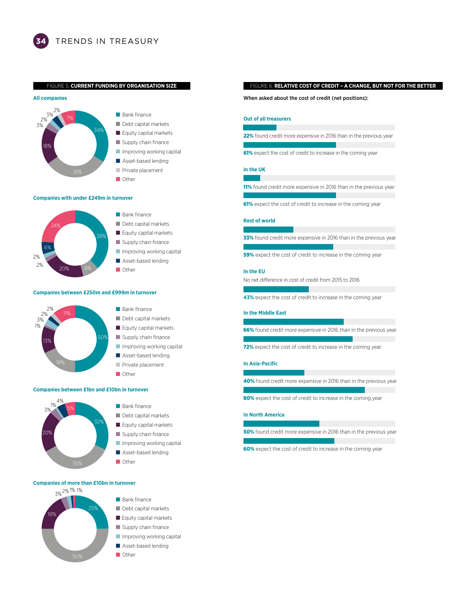FIGURE 5. **CURRENT FUNDING BY ORGANISATION SIZE**





#### **Companies with under £249m in turnover**



#### **Companies between £250m and £999m in turnover**



**Companies between £1bn and £10bn in turnover**



#### ■ Bank finance ■ Debt capital markets Equity capital markets Supply chain finance **Inproving working capital**

- 
- Asset-based lending
- Other

#### **Companies of more than £10bn in turnover**



#### FIGURE 6. **RELATIVE COST OF CREDIT – A CHANGE, BUT NOT FOR THE BETTER**

When asked about the cost of credit (net positions):

#### **Out of all treasurers** 10022

22% found credit more expensive in 2016 than in the previous year

61% expect the cost of credit to increase in the coming year

#### **In the UK**

11% found credit more expensive in 2016 than in the previous year

61% expect the cost of credit to increase in the coming year

#### **Rest of world**

33% found credit more expensive in 2016 than in the previous year

59% expect the cost of credit to increase in the coming year

#### **In the EU**

No net difference in cost of credit from 2015 to 2016

**43%** expect the cost of credit to increase in the coming year

#### **In the Middle East**

66% found credit more expensive in 2016 than in the previous year

72% expect the cost of credit to increase in the coming year

#### **In Asia-Pacific**

40% found credit more expensive in 2016 than in the previous year

80% expect the cost of credit to increase in the coming year

#### **In North America**

50% found credit more expensive in 2016 than in the previous year

60% expect the cost of credit to increase in the coming year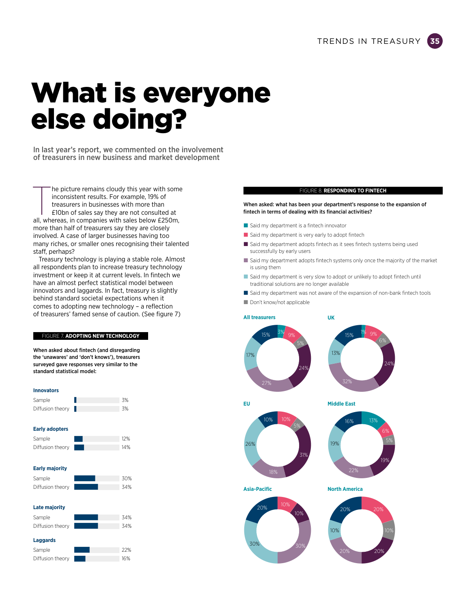### What is everyone else doing?

In last year's report, we commented on the involvement of treasurers in new business and market development

The picture remains cloudy this year with some inconsistent results. For example, 19% of treasurers in businesses with more than £10bn of sales say they are not consulted at all, whereas, in companies with sales below £250 he picture remains cloudy this year with some inconsistent results. For example, 19% of treasurers in businesses with more than £10bn of sales say they are not consulted at more than half of treasurers say they are closely involved. A case of larger businesses having too many riches, or smaller ones recognising their talented staff, perhaps?

Treasury technology is playing a stable role. Almost all respondents plan to increase treasury technology investment or keep it at current levels. In fintech we have an almost perfect statistical model between innovators and laggards. In fact, treasury is slightly behind standard societal expectations when it comes to adopting new technology – a reflection of treasurers' famed sense of caution. (See figure 7)

#### FIGURE 7. **ADOPTING NEW TECHNOLOGY**

When asked about fintech (and disregarding the 'unawares' and 'don't knows'), treasurers surveyed gave responses very similar to the standard statistical model:

#### **Innovators**

| Sample           | .3% |
|------------------|-----|
| Diffusion theory | .3% |

#### **Early adopters**

| Sample           | 12% |
|------------------|-----|
| Diffusion theory | 14% |

#### **Early majority**

| Sample           |  | 30% |
|------------------|--|-----|
| Diffusion theory |  | 34% |

#### **Late majority**

| Sample           |  | 34% |
|------------------|--|-----|
| Diffusion theory |  | 34% |
| Laggards         |  |     |
| Sample           |  |     |

| Sample           |  | 22% |
|------------------|--|-----|
| Diffusion theory |  | 16% |

#### FIGURE 8. **RESPONDING TO FINTECH**

#### When asked: what has been your department's response to the expansion of fintech in terms of dealing with its financial activities?

- Said my department is a fintech innovator
- $\blacksquare$  Said my department is very early to adopt fintech
- Said my department adopts fintech as it sees fintech systems being used successfully by early users
- $\blacksquare$  Said my department adopts fintech systems only once the majority of the market is using them
- Said my department is very slow to adopt or unlikely to adopt fintech until traditional solutions are no longer available
- Said my department was not aware of the expansion of non-bank fintech tools ■ Don't know/not applicable

#### **All treasurers**







**Asia-Pacific North America**

30%



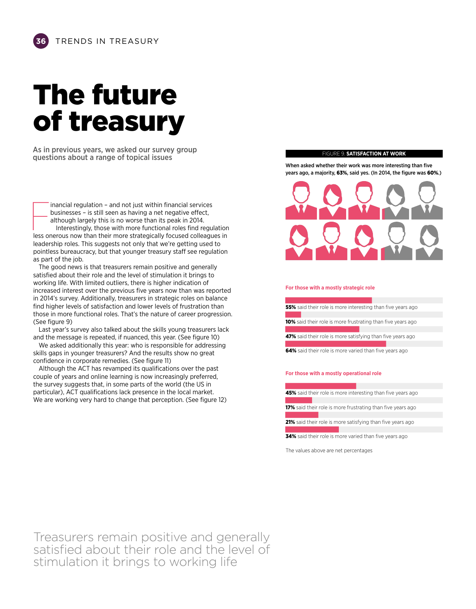## The future of treasury

As in previous years, we asked our survey group questions about a range of topical issues

Inancial regulation – and not just within financial services<br>businesses – is still seen as having a net negative effect,<br>although largely this is no worse than its peak in 2014.<br>Interestingly, those with more functional ro inancial regulation – and not just within financial services businesses – is still seen as having a net negative effect, although largely this is no worse than its peak in 2014. Interestingly, those with more functional roles find regulation leadership roles. This suggests not only that we're getting used to pointless bureaucracy, but that younger treasury staff see regulation as part of the job.

The good news is that treasurers remain positive and generally satisfied about their role and the level of stimulation it brings to working life. With limited outliers, there is higher indication of increased interest over the previous five years now than was reported in 2014's survey. Additionally, treasurers in strategic roles on balance find higher levels of satisfaction and lower levels of frustration than those in more functional roles. That's the nature of career progression. (See figure 9)

Last year's survey also talked about the skills young treasurers lack and the message is repeated, if nuanced, this year. (See figure 10)

We asked additionally this year: who is responsible for addressing skills gaps in younger treasurers? And the results show no great confidence in corporate remedies. (See figure 11)

Although the ACT has revamped its qualifications over the past couple of years and online learning is now increasingly preferred, the survey suggests that, in some parts of the world (the US in particular), ACT qualifications lack presence in the local market. We are working very hard to change that perception. (See figure 12)

#### FIGURE 9. **SATISFACTION AT WORK**

When asked whether their work was more interesting than five years ago, a majority, 63%, said yes. (In 2014, the figure was 60%.)



#### **For those with a mostly strategic role**

| 55% said their role is more interesting than five years ago   |  |
|---------------------------------------------------------------|--|
|                                                               |  |
| 10% said their role is more frustrating than five years ago   |  |
|                                                               |  |
| 47% said their role is more satisfying than five years ago    |  |
| <b>EAS</b> caid their rele is more varied than five years ago |  |

64% said their role is more varied than five years ago

#### **For those with a mostly operational role**

45% said their role is more interesting than five years ago<br>17% said their role is more frustrating than five years ago<br>21% said their role is more satisfying than five years ago

17% said their role is more frustrating than five years ago

21% said their role is more satisfying than five years ago

34% said their role is more varied than five years ago

The values above are net percentages

Treasurers remain positive and generally satisfied about their role and the level of stimulation it brings to working life